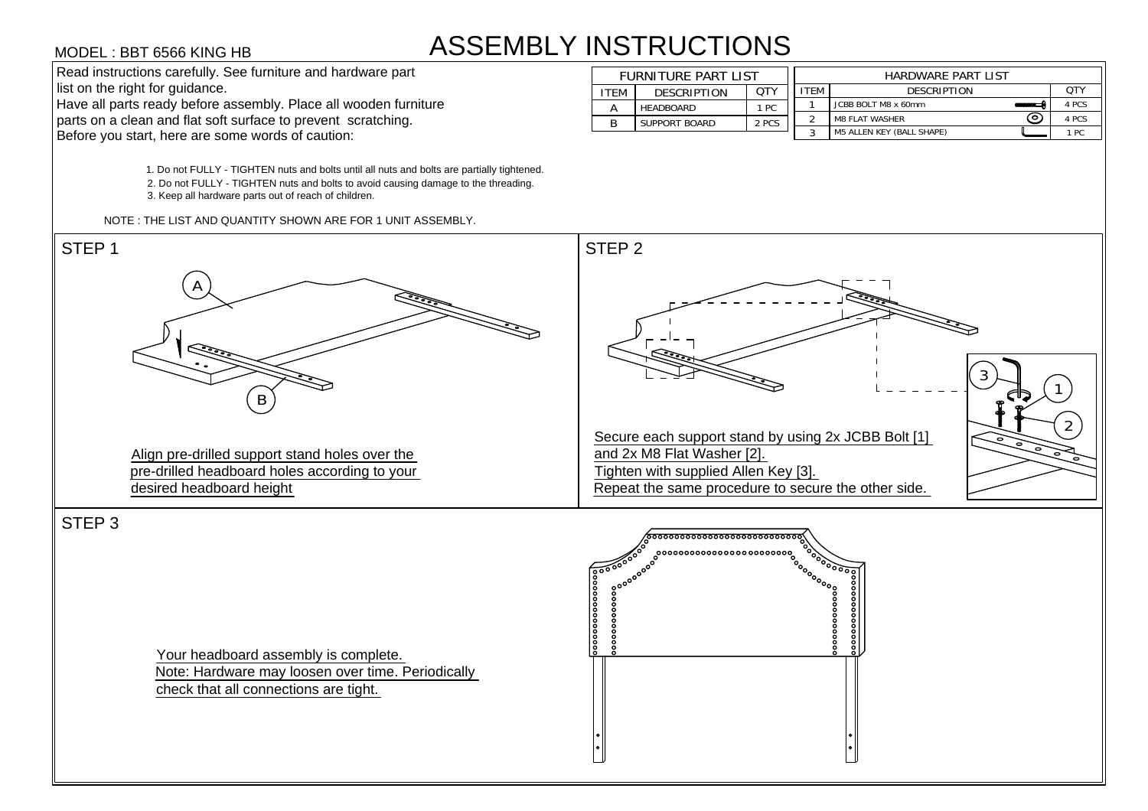## ASSEMBLY INSTRUCTIONS





Your headboard assembly is complete. Note: Hardware may loosen over time. Periodically